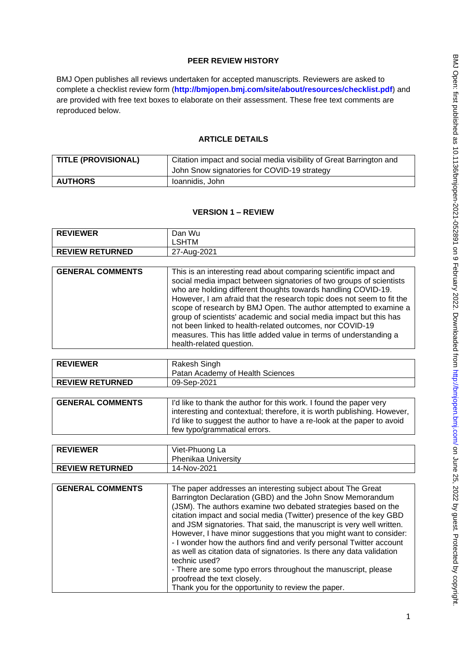# **PEER REVIEW HISTORY**

BMJ Open publishes all reviews undertaken for accepted manuscripts. Reviewers are asked to complete a checklist review form (**[http://bmjopen.bmj.com/site/about/resources/checklist.pdf\)](http://bmjopen.bmj.com/site/about/resources/checklist.pdf)** and are provided with free text boxes to elaborate on their assessment. These free text comments are reproduced below.

## **ARTICLE DETAILS**

| TITLE (PROVISIONAL) | Citation impact and social media visibility of Great Barrington and |
|---------------------|---------------------------------------------------------------------|
|                     | John Snow signatories for COVID-19 strategy                         |
| <b>AUTHORS</b>      | Ioannidis, John                                                     |

## **VERSION 1 – REVIEW**

| <b>REVIEWER</b>        | Dan Wu      |
|------------------------|-------------|
|                        | LSHTM       |
| <b>REVIEW RETURNED</b> | 27-Aug-2021 |

| <b>GENERAL COMMENTS</b> |
|-------------------------|

| <b>REVIEWER</b>        | Rakesh Singh                     |
|------------------------|----------------------------------|
|                        | Patan Academy of Health Sciences |
| <b>REVIEW RETURNED</b> | 09-Sep-2021                      |

| <b>GENERAL COMMENTS</b> | I'd like to thank the author for this work. I found the paper very<br>interesting and contextual; therefore, it is worth publishing. However, |
|-------------------------|-----------------------------------------------------------------------------------------------------------------------------------------------|
|                         | I'd like to suggest the author to have a re-look at the paper to avoid<br>few typo/grammatical errors.                                        |

| <b>REVIEWER</b>        | Viet-Phuong La      |
|------------------------|---------------------|
|                        | Phenikaa University |
| <b>REVIEW RETURNED</b> | 14-Nov-2021         |

| <b>GENERAL COMMENTS</b> | The paper addresses an interesting subject about The Great<br>Barrington Declaration (GBD) and the John Snow Memorandum<br>(JSM). The authors examine two debated strategies based on the<br>citation impact and social media (Twitter) presence of the key GBD<br>and JSM signatories. That said, the manuscript is very well written.<br>However, I have minor suggestions that you might want to consider:<br>- I wonder how the authors find and verify personal Twitter account<br>as well as citation data of signatories. Is there any data validation<br>technic used?<br>- There are some typo errors throughout the manuscript, please<br>proofread the text closely.<br>Thank you for the opportunity to review the paper. |
|-------------------------|---------------------------------------------------------------------------------------------------------------------------------------------------------------------------------------------------------------------------------------------------------------------------------------------------------------------------------------------------------------------------------------------------------------------------------------------------------------------------------------------------------------------------------------------------------------------------------------------------------------------------------------------------------------------------------------------------------------------------------------|
|                         |                                                                                                                                                                                                                                                                                                                                                                                                                                                                                                                                                                                                                                                                                                                                       |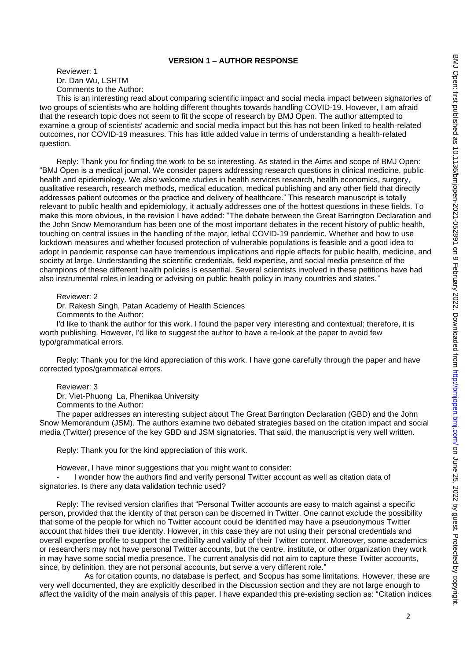### **VERSION 1 – AUTHOR RESPONSE**

Reviewer: 1 Dr. Dan Wu, LSHTM Comments to the Author:

This is an interesting read about comparing scientific impact and social media impact between signatories of two groups of scientists who are holding different thoughts towards handling COVID-19. However, I am afraid that the research topic does not seem to fit the scope of research by BMJ Open. The author attempted to examine a group of scientists' academic and social media impact but this has not been linked to health-related outcomes, nor COVID-19 measures. This has little added value in terms of understanding a health-related question.

Reply: Thank you for finding the work to be so interesting. As stated in the Aims and scope of BMJ Open: "BMJ Open is a medical journal. We consider papers addressing research questions in clinical medicine, public health and epidemiology. We also welcome studies in health services research, health economics, surgery, qualitative research, research methods, medical education, medical publishing and any other field that directly addresses patient outcomes or the practice and delivery of healthcare." This research manuscript is totally relevant to public health and epidemiology, it actually addresses one of the hottest questions in these fields. To make this more obvious, in the revision I have added: "The debate between the Great Barrington Declaration and the John Snow Memorandum has been one of the most important debates in the recent history of public health, touching on central issues in the handling of the major, lethal COVID-19 pandemic. Whether and how to use lockdown measures and whether focused protection of vulnerable populations is feasible and a good idea to adopt in pandemic response can have tremendous implications and ripple effects for public health, medicine, and society at large. Understanding the scientific credentials, field expertise, and social media presence of the champions of these different health policies is essential. Several scientists involved in these petitions have had also instrumental roles in leading or advising on public health policy in many countries and states."

### Reviewer: 2

Dr. Rakesh Singh, Patan Academy of Health Sciences Comments to the Author:

I'd like to thank the author for this work. I found the paper very interesting and contextual; therefore, it is worth publishing. However, I'd like to suggest the author to have a re-look at the paper to avoid few typo/grammatical errors.

Reply: Thank you for the kind appreciation of this work. I have gone carefully through the paper and have corrected typos/grammatical errors.

### Reviewer: 3

Dr. Viet-Phuong La, Phenikaa University Comments to the Author:

The paper addresses an interesting subject about The Great Barrington Declaration (GBD) and the John Snow Memorandum (JSM). The authors examine two debated strategies based on the citation impact and social media (Twitter) presence of the key GBD and JSM signatories. That said, the manuscript is very well written.

Reply: Thank you for the kind appreciation of this work.

However, I have minor suggestions that you might want to consider:

I wonder how the authors find and verify personal Twitter account as well as citation data of signatories. Is there any data validation technic used?

Reply: The revised version clarifies that "Personal Twitter accounts are easy to match against a specific person, provided that the identity of that person can be discerned in Twitter. One cannot exclude the possibility that some of the people for which no Twitter account could be identified may have a pseudonymous Twitter account that hides their true identity. However, in this case they are not using their personal credentials and overall expertise profile to support the credibility and validity of their Twitter content. Moreover, some academics or researchers may not have personal Twitter accounts, but the centre, institute, or other organization they work in may have some social media presence. The current analysis did not aim to capture these Twitter accounts, since, by definition, they are not personal accounts, but serve a very different role."

As for citation counts, no database is perfect, and Scopus has some limitations. However, these are very well documented, they are explicitly described in the Discussion section and they are not large enough to affect the validity of the main analysis of this paper. I have expanded this pre-existing section as: "Citation indices